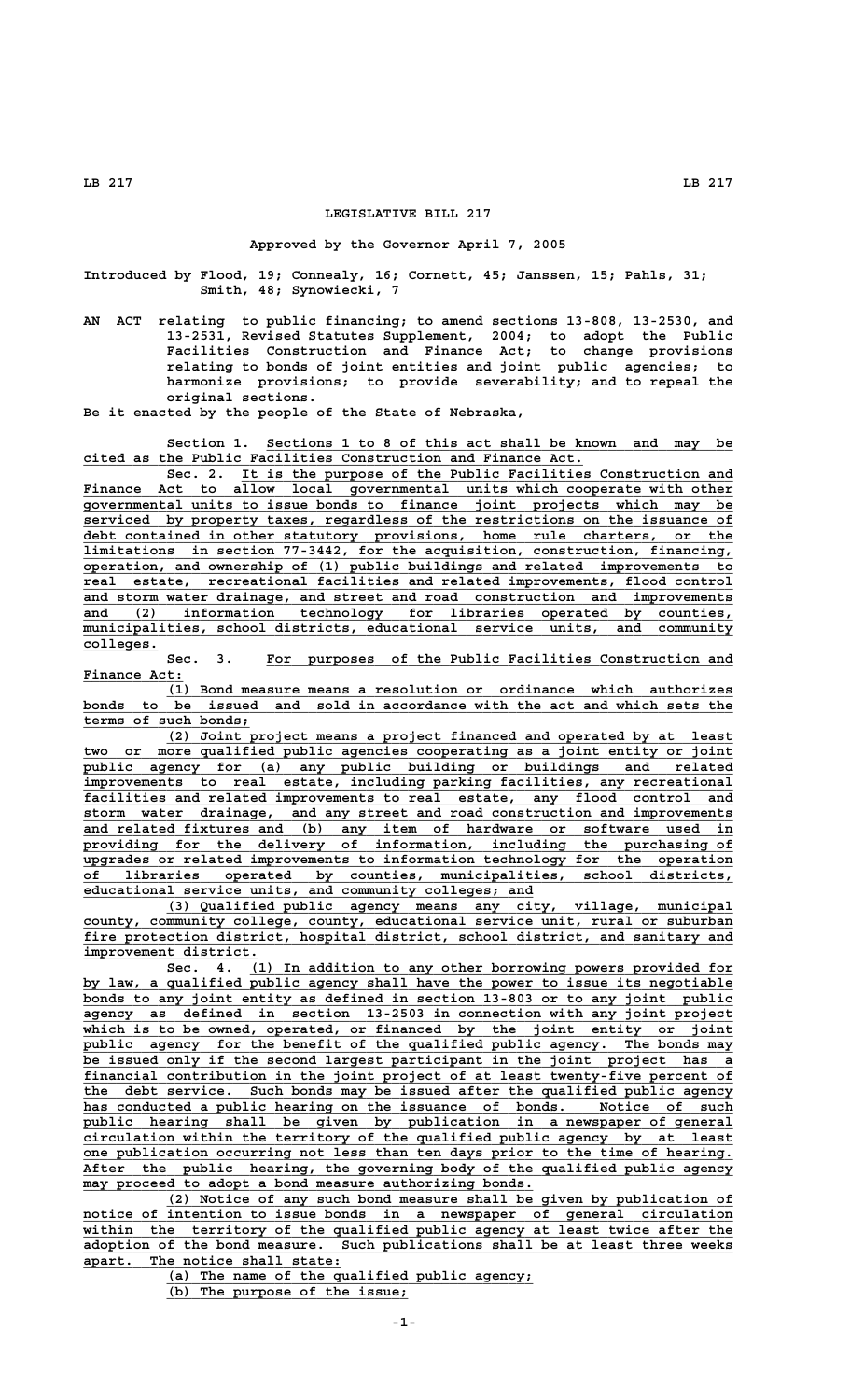## **LEGISLATIVE BILL 217**

## **Approved by the Governor April 7, 2005**

**Introduced by Flood, 19; Connealy, 16; Cornett, 45; Janssen, 15; Pahls, 31; Smith, 48; Synowiecki, 7**

**AN ACT relating to public financing; to amend sections 13-808, 13-2530, and 13-2531, Revised Statutes Supplement, 2004; to adopt the Public Facilities Construction and Finance Act; to change provisions relating to bonds of joint entities and joint public agencies; to harmonize provisions; to provide severability; and to repeal the original sections.**

**Be it enacted by the people of the State of Nebraska,**

Section 1. Sections 1 to 8 of this act shall be known and may be  **\_\_\_\_\_\_\_\_\_\_\_\_\_\_\_\_\_\_\_\_\_\_\_\_\_\_\_\_\_\_\_\_\_\_\_\_\_\_\_\_\_\_\_\_\_\_\_\_\_\_\_\_\_\_\_\_\_\_\_\_ cited as the Public Facilities Construction and Finance Act.**

 **\_\_\_\_\_\_\_\_\_\_\_\_\_\_\_\_\_\_\_\_\_\_\_\_\_\_\_\_\_\_\_\_\_\_\_\_\_\_\_\_\_\_\_\_\_\_\_\_\_\_\_\_\_\_\_\_\_\_\_ Sec. 2. It is the purpose of the Public Facilities Construction and** Finance Act to allow local governmental units which cooperate with other  **\_\_\_\_\_\_\_\_\_\_\_\_\_\_\_\_\_\_\_\_\_\_\_\_\_\_\_\_\_\_\_\_\_\_\_\_\_\_\_\_\_\_\_\_\_\_\_\_\_\_\_\_\_\_\_\_\_\_\_\_\_\_\_\_\_\_\_\_\_\_\_\_\_\_\_\_\_\_ governmental units to issue bonds to finance joint projects which may be \_\_\_\_\_\_\_\_\_\_\_\_\_\_\_\_\_\_\_\_\_\_\_\_\_\_\_\_\_\_\_\_\_\_\_\_\_\_\_\_\_\_\_\_\_\_\_\_\_\_\_\_\_\_\_\_\_\_\_\_\_\_\_\_\_\_\_\_\_\_\_\_\_\_\_\_\_\_ serviced by property taxes, regardless of the restrictions on the issuance of \_\_\_\_\_\_\_\_\_\_\_\_\_\_\_\_\_\_\_\_\_\_\_\_\_\_\_\_\_\_\_\_\_\_\_\_\_\_\_\_\_\_\_\_\_\_\_\_\_\_\_\_\_\_\_\_\_\_\_\_\_\_\_\_\_\_\_\_\_\_\_\_\_\_\_\_\_\_ debt contained in other statutory provisions, home rule charters, or the \_\_\_\_\_\_\_\_\_\_\_\_\_\_\_\_\_\_\_\_\_\_\_\_\_\_\_\_\_\_\_\_\_\_\_\_\_\_\_\_\_\_\_\_\_\_\_\_\_\_\_\_\_\_\_\_\_\_\_\_\_\_\_\_\_\_\_\_\_\_\_\_\_\_\_\_\_\_ limitations in section 77-3442, for the acquisition, construction, financing, \_\_\_\_\_\_\_\_\_\_\_\_\_\_\_\_\_\_\_\_\_\_\_\_\_\_\_\_\_\_\_\_\_\_\_\_\_\_\_\_\_\_\_\_\_\_\_\_\_\_\_\_\_\_\_\_\_\_\_\_\_\_\_\_\_\_\_\_\_\_\_\_\_\_\_\_\_\_ operation, and ownership of (1) public buildings and related improvements to \_\_\_\_\_\_\_\_\_\_\_\_\_\_\_\_\_\_\_\_\_\_\_\_\_\_\_\_\_\_\_\_\_\_\_\_\_\_\_\_\_\_\_\_\_\_\_\_\_\_\_\_\_\_\_\_\_\_\_\_\_\_\_\_\_\_\_\_\_\_\_\_\_\_\_\_\_\_ real estate, recreational facilities and related improvements, flood control \_\_\_\_\_\_\_\_\_\_\_\_\_\_\_\_\_\_\_\_\_\_\_\_\_\_\_\_\_\_\_\_\_\_\_\_\_\_\_\_\_\_\_\_\_\_\_\_\_\_\_\_\_\_\_\_\_\_\_\_\_\_\_\_\_\_\_\_\_\_\_\_\_\_\_\_\_\_ and storm water drainage, and street and road construction and improvements \_\_\_\_\_\_\_\_\_\_\_\_\_\_\_\_\_\_\_\_\_\_\_\_\_\_\_\_\_\_\_\_\_\_\_\_\_\_\_\_\_\_\_\_\_\_\_\_\_\_\_\_\_\_\_\_\_\_\_\_\_\_\_\_\_\_\_\_\_\_\_\_\_\_\_\_\_\_ and (2) information technology for libraries operated by counties,**  $m$ unicipalities, school districts, educational service units, and community  **colleges. \_\_\_\_\_\_\_\_\_**

Sec. 3. For purposes of the Public Facilities Construction and  **Finance Act: \_\_\_\_\_\_\_\_\_\_\_\_**

 **\_\_\_\_\_\_\_\_\_\_\_\_\_\_\_\_\_\_\_\_\_\_\_\_\_\_\_\_\_\_\_\_\_\_\_\_\_\_\_\_\_\_\_\_\_\_\_\_\_\_\_\_\_\_\_\_\_\_\_\_\_\_\_\_\_\_\_\_ (1) Bond measure means a resolution or ordinance which authorizes \_\_\_\_\_\_\_\_\_\_\_\_\_\_\_\_\_\_\_\_\_\_\_\_\_\_\_\_\_\_\_\_\_\_\_\_\_\_\_\_\_\_\_\_\_\_\_\_\_\_\_\_\_\_\_\_\_\_\_\_\_\_\_\_\_\_\_\_\_\_\_\_\_\_\_\_\_\_ bonds to be issued and sold in accordance with the act and which sets the \_\_\_\_\_\_\_\_\_\_\_\_\_\_\_\_\_\_\_\_ terms of such bonds;**

 **\_\_\_\_\_\_\_\_\_\_\_\_\_\_\_\_\_\_\_\_\_\_\_\_\_\_\_\_\_\_\_\_\_\_\_\_\_\_\_\_\_\_\_\_\_\_\_\_\_\_\_\_\_\_\_\_\_\_\_\_\_\_\_\_\_\_\_\_ (2) Joint project means a project financed and operated by at least \_\_\_\_\_\_\_\_\_\_\_\_\_\_\_\_\_\_\_\_\_\_\_\_\_\_\_\_\_\_\_\_\_\_\_\_\_\_\_\_\_\_\_\_\_\_\_\_\_\_\_\_\_\_\_\_\_\_\_\_\_\_\_\_\_\_\_\_\_\_\_\_\_\_\_\_\_\_ two or more qualified public agencies cooperating as a joint entity or joint \_\_\_\_\_\_\_\_\_\_\_\_\_\_\_\_\_\_\_\_\_\_\_\_\_\_\_\_\_\_\_\_\_\_\_\_\_\_\_\_\_\_\_\_\_\_\_\_\_\_\_\_\_\_\_\_\_\_\_\_\_\_\_\_\_\_\_\_\_\_\_\_\_\_\_\_\_\_ public agency for (a) any public building or buildings and related \_\_\_\_\_\_\_\_\_\_\_\_\_\_\_\_\_\_\_\_\_\_\_\_\_\_\_\_\_\_\_\_\_\_\_\_\_\_\_\_\_\_\_\_\_\_\_\_\_\_\_\_\_\_\_\_\_\_\_\_\_\_\_\_\_\_\_\_\_\_\_\_\_\_\_\_\_\_ improvements to real estate, including parking facilities, any recreational** facilities and related improvements to real estate, any flood control and  **\_\_\_\_\_\_\_\_\_\_\_\_\_\_\_\_\_\_\_\_\_\_\_\_\_\_\_\_\_\_\_\_\_\_\_\_\_\_\_\_\_\_\_\_\_\_\_\_\_\_\_\_\_\_\_\_\_\_\_\_\_\_\_\_\_\_\_\_\_\_\_\_\_\_\_\_\_\_ storm water drainage, and any street and road construction and improvements \_\_\_\_\_\_\_\_\_\_\_\_\_\_\_\_\_\_\_\_\_\_\_\_\_\_\_\_\_\_\_\_\_\_\_\_\_\_\_\_\_\_\_\_\_\_\_\_\_\_\_\_\_\_\_\_\_\_\_\_\_\_\_\_\_\_\_\_\_\_\_\_\_\_\_\_\_\_ and related fixtures and (b) any item of hardware or software used in \_\_\_\_\_\_\_\_\_\_\_\_\_\_\_\_\_\_\_\_\_\_\_\_\_\_\_\_\_\_\_\_\_\_\_\_\_\_\_\_\_\_\_\_\_\_\_\_\_\_\_\_\_\_\_\_\_\_\_\_\_\_\_\_\_\_\_\_\_\_\_\_\_\_\_\_\_\_ providing for the delivery of information, including the purchasing of \_\_\_\_\_\_\_\_\_\_\_\_\_\_\_\_\_\_\_\_\_\_\_\_\_\_\_\_\_\_\_\_\_\_\_\_\_\_\_\_\_\_\_\_\_\_\_\_\_\_\_\_\_\_\_\_\_\_\_\_\_\_\_\_\_\_\_\_\_\_\_\_\_\_\_\_\_\_ upgrades or related improvements to information technology for the operation \_\_\_\_\_\_\_\_\_\_\_\_\_\_\_\_\_\_\_\_\_\_\_\_\_\_\_\_\_\_\_\_\_\_\_\_\_\_\_\_\_\_\_\_\_\_\_\_\_\_\_\_\_\_\_\_\_\_\_\_\_\_\_\_\_\_\_\_\_\_\_\_\_\_\_\_\_\_ of libraries operated by counties, municipalities, school districts, \_\_\_\_\_\_\_\_\_\_\_\_\_\_\_\_\_\_\_\_\_\_\_\_\_\_\_\_\_\_\_\_\_\_\_\_\_\_\_\_\_\_\_\_\_\_\_\_\_\_\_\_\_\_ educational service units, and community colleges; and**

 **\_\_\_\_\_\_\_\_\_\_\_\_\_\_\_\_\_\_\_\_\_\_\_\_\_\_\_\_\_\_\_\_\_\_\_\_\_\_\_\_\_\_\_\_\_\_\_\_\_\_\_\_\_\_\_\_\_\_\_\_\_\_\_\_\_\_\_\_ (3) Qualified public agency means any city, village, municipal \_\_\_\_\_\_\_\_\_\_\_\_\_\_\_\_\_\_\_\_\_\_\_\_\_\_\_\_\_\_\_\_\_\_\_\_\_\_\_\_\_\_\_\_\_\_\_\_\_\_\_\_\_\_\_\_\_\_\_\_\_\_\_\_\_\_\_\_\_\_\_\_\_\_\_\_\_\_ county, community college, county, educational service unit, rural or suburban \_\_\_\_\_\_\_\_\_\_\_\_\_\_\_\_\_\_\_\_\_\_\_\_\_\_\_\_\_\_\_\_\_\_\_\_\_\_\_\_\_\_\_\_\_\_\_\_\_\_\_\_\_\_\_\_\_\_\_\_\_\_\_\_\_\_\_\_\_\_\_\_\_\_\_\_\_\_ fire protection district, hospital district, school district, and sanitary and improvement district. \_\_\_\_\_\_\_\_\_\_\_\_\_\_\_\_\_\_\_\_\_**

Sec. 4. (1) In addition to any other borrowing powers provided for by law, a qualified public agency shall have the power to issue its negotiable  **\_\_\_\_\_\_\_\_\_\_\_\_\_\_\_\_\_\_\_\_\_\_\_\_\_\_\_\_\_\_\_\_\_\_\_\_\_\_\_\_\_\_\_\_\_\_\_\_\_\_\_\_\_\_\_\_\_\_\_\_\_\_\_\_\_\_\_\_\_\_\_\_\_\_\_\_\_\_ bonds to any joint entity as defined in section 13-803 or to any joint public \_\_\_\_\_\_\_\_\_\_\_\_\_\_\_\_\_\_\_\_\_\_\_\_\_\_\_\_\_\_\_\_\_\_\_\_\_\_\_\_\_\_\_\_\_\_\_\_\_\_\_\_\_\_\_\_\_\_\_\_\_\_\_\_\_\_\_\_\_\_\_\_\_\_\_\_\_\_ agency as defined in section 13-2503 in connection with any joint project** which is to be owned, operated, or financed by the joint entity or joint  **\_\_\_\_\_\_\_\_\_\_\_\_\_\_\_\_\_\_\_\_\_\_\_\_\_\_\_\_\_\_\_\_\_\_\_\_\_\_\_\_\_\_\_\_\_\_\_\_\_\_\_\_\_\_\_\_\_\_\_\_\_\_\_\_\_\_\_\_\_\_\_\_\_\_\_\_\_\_ public agency for the benefit of the qualified public agency. The bonds may \_\_\_\_\_\_\_\_\_\_\_\_\_\_\_\_\_\_\_\_\_\_\_\_\_\_\_\_\_\_\_\_\_\_\_\_\_\_\_\_\_\_\_\_\_\_\_\_\_\_\_\_\_\_\_\_\_\_\_\_\_\_\_\_\_\_\_\_\_\_\_\_\_\_\_\_\_\_ be issued only if the second largest participant in the joint project has a \_\_\_\_\_\_\_\_\_\_\_\_\_\_\_\_\_\_\_\_\_\_\_\_\_\_\_\_\_\_\_\_\_\_\_\_\_\_\_\_\_\_\_\_\_\_\_\_\_\_\_\_\_\_\_\_\_\_\_\_\_\_\_\_\_\_\_\_\_\_\_\_\_\_\_\_\_\_ financial contribution in the joint project of at least twenty-five percent of \_\_\_\_\_\_\_\_\_\_\_\_\_\_\_\_\_\_\_\_\_\_\_\_\_\_\_\_\_\_\_\_\_\_\_\_\_\_\_\_\_\_\_\_\_\_\_\_\_\_\_\_\_\_\_\_\_\_\_\_\_\_\_\_\_\_\_\_\_\_\_\_\_\_\_\_\_\_ the debt service. Such bonds may be issued after the qualified public agency \_\_\_\_\_\_\_\_\_\_\_\_\_\_\_\_\_\_\_\_\_\_\_\_\_\_\_\_\_\_\_\_\_\_\_\_\_\_\_\_\_\_\_\_\_\_\_\_\_\_\_\_\_\_\_\_\_\_\_\_\_\_\_\_\_\_\_\_\_\_\_\_\_\_\_\_\_\_ has conducted a public hearing on the issuance of bonds. Notice of such** public hearing shall be given by publication in a newspaper of general  **\_\_\_\_\_\_\_\_\_\_\_\_\_\_\_\_\_\_\_\_\_\_\_\_\_\_\_\_\_\_\_\_\_\_\_\_\_\_\_\_\_\_\_\_\_\_\_\_\_\_\_\_\_\_\_\_\_\_\_\_\_\_\_\_\_\_\_\_\_\_\_\_\_\_\_\_\_\_ circulation within the territory of the qualified public agency by at least** one publication occurring not less than ten days prior to the time of hearing.  **\_\_\_\_\_\_\_\_\_\_\_\_\_\_\_\_\_\_\_\_\_\_\_\_\_\_\_\_\_\_\_\_\_\_\_\_\_\_\_\_\_\_\_\_\_\_\_\_\_\_\_\_\_\_\_\_\_\_\_\_\_\_\_\_\_\_\_\_\_\_\_\_\_\_\_\_\_\_ After the public hearing, the governing body of the qualified public agency \_\_\_\_\_\_\_\_\_\_\_\_\_\_\_\_\_\_\_\_\_\_\_\_\_\_\_\_\_\_\_\_\_\_\_\_\_\_\_\_\_\_\_\_\_\_\_\_\_\_\_\_\_\_ may proceed to adopt a bond measure authorizing bonds.**

 **\_\_\_\_\_\_\_\_\_\_\_\_\_\_\_\_\_\_\_\_\_\_\_\_\_\_\_\_\_\_\_\_\_\_\_\_\_\_\_\_\_\_\_\_\_\_\_\_\_\_\_\_\_\_\_\_\_\_\_\_\_\_\_\_\_\_\_\_ (2) Notice of any such bond measure shall be given by publication of \_\_\_\_\_\_\_\_\_\_\_\_\_\_\_\_\_\_\_\_\_\_\_\_\_\_\_\_\_\_\_\_\_\_\_\_\_\_\_\_\_\_\_\_\_\_\_\_\_\_\_\_\_\_\_\_\_\_\_\_\_\_\_\_\_\_\_\_\_\_\_\_\_\_\_\_\_\_ notice of intention to issue bonds in a newspaper of general circulation \_\_\_\_\_\_\_\_\_\_\_\_\_\_\_\_\_\_\_\_\_\_\_\_\_\_\_\_\_\_\_\_\_\_\_\_\_\_\_\_\_\_\_\_\_\_\_\_\_\_\_\_\_\_\_\_\_\_\_\_\_\_\_\_\_\_\_\_\_\_\_\_\_\_\_\_\_\_ within the territory of the qualified public agency at least twice after the \_\_\_\_\_\_\_\_\_\_\_\_\_\_\_\_\_\_\_\_\_\_\_\_\_\_\_\_\_\_\_\_\_\_\_\_\_\_\_\_\_\_\_\_\_\_\_\_\_\_\_\_\_\_\_\_\_\_\_\_\_\_\_\_\_\_\_\_\_\_\_\_\_\_\_\_\_\_ adoption of the bond measure. Such publications shall be at least three weeks \_\_\_\_\_\_\_\_\_\_\_\_\_\_\_\_\_\_\_\_\_\_\_\_\_\_\_\_\_\_\_ apart. The notice shall state:**

 **\_\_\_\_\_\_\_\_\_\_\_\_\_\_\_\_\_\_\_\_\_\_\_\_\_\_\_\_\_\_\_\_\_\_\_\_\_\_\_\_\_\_\_\_ (a) The name of the qualified public agency;**

 **\_\_\_\_\_\_\_\_\_\_\_\_\_\_\_\_\_\_\_\_\_\_\_\_\_\_\_\_\_ (b) The purpose of the issue;**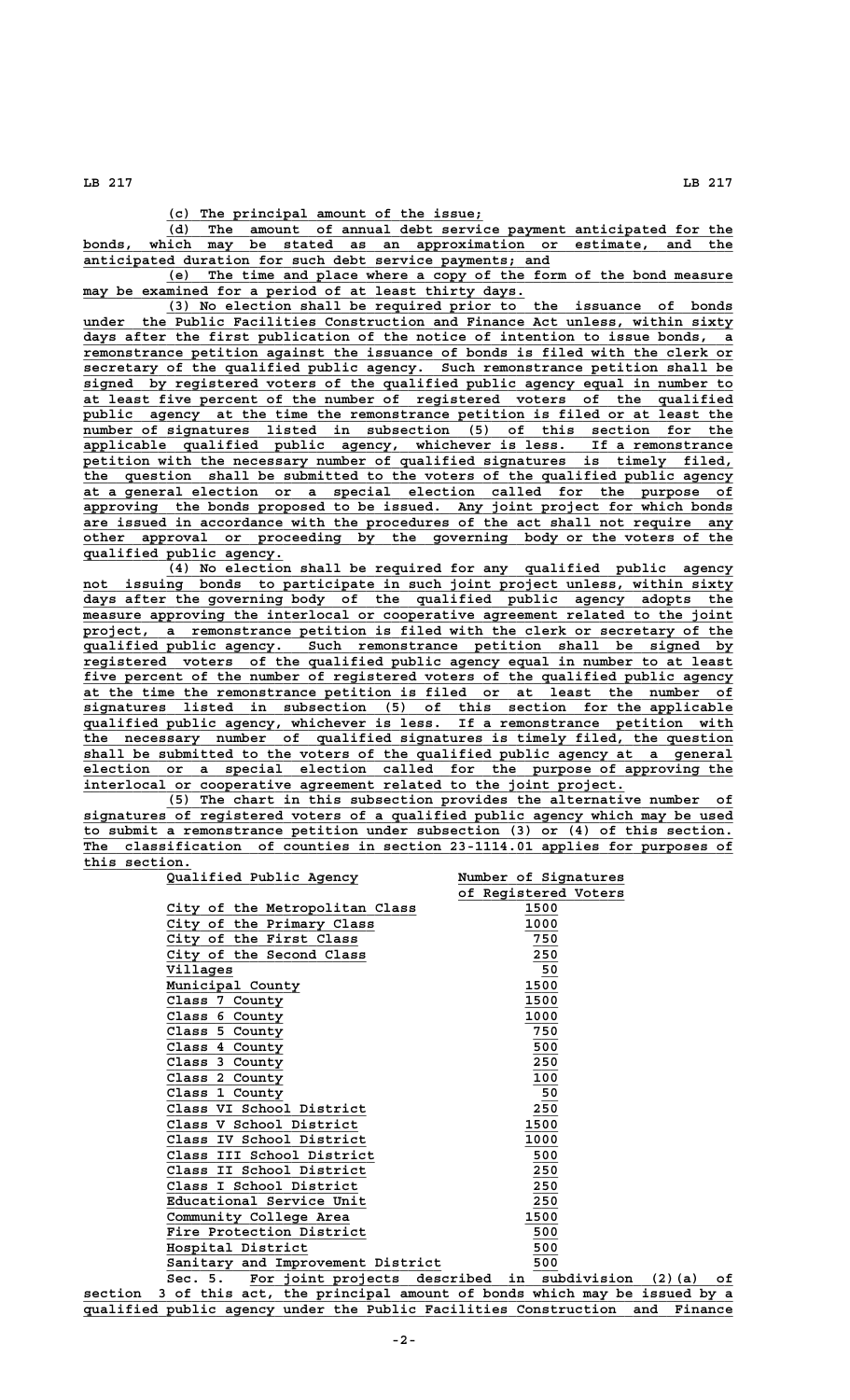**LB 217 LB 217**

 **\_\_\_\_\_\_\_\_\_\_\_\_\_\_\_\_\_\_\_\_\_\_\_\_\_\_\_\_\_\_\_\_\_\_\_\_\_\_ (c) The principal amount of the issue;**

 **\_\_\_\_\_\_\_\_\_\_\_\_\_\_\_\_\_\_\_\_\_\_\_\_\_\_\_\_\_\_\_\_\_\_\_\_\_\_\_\_\_\_\_\_\_\_\_\_\_\_\_\_\_\_\_\_\_\_\_\_\_\_\_\_\_\_\_\_ (d) The amount of annual debt service payment anticipated for the \_\_\_\_\_\_\_\_\_\_\_\_\_\_\_\_\_\_\_\_\_\_\_\_\_\_\_\_\_\_\_\_\_\_\_\_\_\_\_\_\_\_\_\_\_\_\_\_\_\_\_\_\_\_\_\_\_\_\_\_\_\_\_\_\_\_\_\_\_\_\_\_\_\_\_\_\_\_ bonds, which may be stated as an approximation or estimate, and the \_\_\_\_\_\_\_\_\_\_\_\_\_\_\_\_\_\_\_\_\_\_\_\_\_\_\_\_\_\_\_\_\_\_\_\_\_\_\_\_\_\_\_\_\_\_\_\_\_\_\_\_\_\_\_\_ anticipated duration for such debt service payments; and**

 **\_\_\_\_\_\_\_\_\_\_\_\_\_\_\_\_\_\_\_\_\_\_\_\_\_\_\_\_\_\_\_\_\_\_\_\_\_\_\_\_\_\_\_\_\_\_\_\_\_\_\_\_\_\_\_\_\_\_\_\_\_\_\_\_\_\_\_\_ (e) The time and place where a copy of the form of the bond measure \_\_\_\_\_\_\_\_\_\_\_\_\_\_\_\_\_\_\_\_\_\_\_\_\_\_\_\_\_\_\_\_\_\_\_\_\_\_\_\_\_\_\_\_\_\_\_\_\_\_\_\_\_ may be examined for a period of at least thirty days.**

 **\_\_\_\_\_\_\_\_\_\_\_\_\_\_\_\_\_\_\_\_\_\_\_\_\_\_\_\_\_\_\_\_\_\_\_\_\_\_\_\_\_\_\_\_\_\_\_\_\_\_\_\_\_\_\_\_\_\_\_\_\_\_\_\_\_\_\_\_ (3) No election shall be required prior to the issuance of bonds \_\_\_\_\_\_\_\_\_\_\_\_\_\_\_\_\_\_\_\_\_\_\_\_\_\_\_\_\_\_\_\_\_\_\_\_\_\_\_\_\_\_\_\_\_\_\_\_\_\_\_\_\_\_\_\_\_\_\_\_\_\_\_\_\_\_\_\_\_\_\_\_\_\_\_\_\_\_ under the Public Facilities Construction and Finance Act unless, within sixty \_\_\_\_\_\_\_\_\_\_\_\_\_\_\_\_\_\_\_\_\_\_\_\_\_\_\_\_\_\_\_\_\_\_\_\_\_\_\_\_\_\_\_\_\_\_\_\_\_\_\_\_\_\_\_\_\_\_\_\_\_\_\_\_\_\_\_\_\_\_\_\_\_\_\_\_\_\_ days after the first publication of the notice of intention to issue bonds, a** remonstrance petition against the issuance of bonds is filed with the clerk or secretary of the qualified public agency. Such remonstrance petition shall be  $s$ ecretary of the qualified public agency.  **\_\_\_\_\_\_\_\_\_\_\_\_\_\_\_\_\_\_\_\_\_\_\_\_\_\_\_\_\_\_\_\_\_\_\_\_\_\_\_\_\_\_\_\_\_\_\_\_\_\_\_\_\_\_\_\_\_\_\_\_\_\_\_\_\_\_\_\_\_\_\_\_\_\_\_\_\_\_ signed by registered voters of the qualified public agency equal in number to \_\_\_\_\_\_\_\_\_\_\_\_\_\_\_\_\_\_\_\_\_\_\_\_\_\_\_\_\_\_\_\_\_\_\_\_\_\_\_\_\_\_\_\_\_\_\_\_\_\_\_\_\_\_\_\_\_\_\_\_\_\_\_\_\_\_\_\_\_\_\_\_\_\_\_\_\_\_ at least five percent of the number of registered voters of the qualified \_\_\_\_\_\_\_\_\_\_\_\_\_\_\_\_\_\_\_\_\_\_\_\_\_\_\_\_\_\_\_\_\_\_\_\_\_\_\_\_\_\_\_\_\_\_\_\_\_\_\_\_\_\_\_\_\_\_\_\_\_\_\_\_\_\_\_\_\_\_\_\_\_\_\_\_\_\_ public agency at the time the remonstrance petition is filed or at least the** number of signatures listed in subsection (5) of this section for the  **\_\_\_\_\_\_\_\_\_\_\_\_\_\_\_\_\_\_\_\_\_\_\_\_\_\_\_\_\_\_\_\_\_\_\_\_\_\_\_\_\_\_\_\_\_\_\_\_\_\_\_\_\_\_\_\_\_\_\_\_\_\_\_\_\_\_\_\_\_\_\_\_\_\_\_\_\_\_ applicable qualified public agency, whichever is less. If a remonstrance** petition with the necessary number of qualified signatures is timely filed,  **\_\_\_\_\_\_\_\_\_\_\_\_\_\_\_\_\_\_\_\_\_\_\_\_\_\_\_\_\_\_\_\_\_\_\_\_\_\_\_\_\_\_\_\_\_\_\_\_\_\_\_\_\_\_\_\_\_\_\_\_\_\_\_\_\_\_\_\_\_\_\_\_\_\_\_\_\_\_ the question shall be submitted to the voters of the qualified public agency \_\_\_\_\_\_\_\_\_\_\_\_\_\_\_\_\_\_\_\_\_\_\_\_\_\_\_\_\_\_\_\_\_\_\_\_\_\_\_\_\_\_\_\_\_\_\_\_\_\_\_\_\_\_\_\_\_\_\_\_\_\_\_\_\_\_\_\_\_\_\_\_\_\_\_\_\_\_ at a general election or a special election called for the purpose of** approving the bonds proposed to be issued. Any joint project for which bonds  **\_\_\_\_\_\_\_\_\_\_\_\_\_\_\_\_\_\_\_\_\_\_\_\_\_\_\_\_\_\_\_\_\_\_\_\_\_\_\_\_\_\_\_\_\_\_\_\_\_\_\_\_\_\_\_\_\_\_\_\_\_\_\_\_\_\_\_\_\_\_\_\_\_\_\_\_\_\_ are issued in accordance with the procedures of the act shall not require any \_\_\_\_\_\_\_\_\_\_\_\_\_\_\_\_\_\_\_\_\_\_\_\_\_\_\_\_\_\_\_\_\_\_\_\_\_\_\_\_\_\_\_\_\_\_\_\_\_\_\_\_\_\_\_\_\_\_\_\_\_\_\_\_\_\_\_\_\_\_\_\_\_\_\_\_\_\_ other approval or proceeding by the governing body or the voters of the \_\_\_\_\_\_\_\_\_\_\_\_\_\_\_\_\_\_\_\_\_\_\_\_ qualified public agency.**

 **\_\_\_\_\_\_\_\_\_\_\_\_\_\_\_\_\_\_\_\_\_\_\_\_\_\_\_\_\_\_\_\_\_\_\_\_\_\_\_\_\_\_\_\_\_\_\_\_\_\_\_\_\_\_\_\_\_\_\_\_\_\_\_\_\_\_\_\_ (4) No election shall be required for any qualified public agency \_\_\_\_\_\_\_\_\_\_\_\_\_\_\_\_\_\_\_\_\_\_\_\_\_\_\_\_\_\_\_\_\_\_\_\_\_\_\_\_\_\_\_\_\_\_\_\_\_\_\_\_\_\_\_\_\_\_\_\_\_\_\_\_\_\_\_\_\_\_\_\_\_\_\_\_\_\_ not issuing bonds to participate in such joint project unless, within sixty \_\_\_\_\_\_\_\_\_\_\_\_\_\_\_\_\_\_\_\_\_\_\_\_\_\_\_\_\_\_\_\_\_\_\_\_\_\_\_\_\_\_\_\_\_\_\_\_\_\_\_\_\_\_\_\_\_\_\_\_\_\_\_\_\_\_\_\_\_\_\_\_\_\_\_\_\_\_ days after the governing body of the qualified public agency adopts the**  $measure$  approving the interlocal or cooperative agreement related to the joint project, a remonstrance petition is filed with the clerk or secretary of the  **\_\_\_\_\_\_\_\_\_\_\_\_\_\_\_\_\_\_\_\_\_\_\_\_\_\_\_\_\_\_\_\_\_\_\_\_\_\_\_\_\_\_\_\_\_\_\_\_\_\_\_\_\_\_\_\_\_\_\_\_\_\_\_\_\_\_\_\_\_\_\_\_\_\_\_\_\_\_ qualified public agency. Such remonstrance petition shall be signed by \_\_\_\_\_\_\_\_\_\_\_\_\_\_\_\_\_\_\_\_\_\_\_\_\_\_\_\_\_\_\_\_\_\_\_\_\_\_\_\_\_\_\_\_\_\_\_\_\_\_\_\_\_\_\_\_\_\_\_\_\_\_\_\_\_\_\_\_\_\_\_\_\_\_\_\_\_\_ registered voters of the qualified public agency equal in number to at least \_\_\_\_\_\_\_\_\_\_\_\_\_\_\_\_\_\_\_\_\_\_\_\_\_\_\_\_\_\_\_\_\_\_\_\_\_\_\_\_\_\_\_\_\_\_\_\_\_\_\_\_\_\_\_\_\_\_\_\_\_\_\_\_\_\_\_\_\_\_\_\_\_\_\_\_\_\_ five percent of the number of registered voters of the qualified public agency \_\_\_\_\_\_\_\_\_\_\_\_\_\_\_\_\_\_\_\_\_\_\_\_\_\_\_\_\_\_\_\_\_\_\_\_\_\_\_\_\_\_\_\_\_\_\_\_\_\_\_\_\_\_\_\_\_\_\_\_\_\_\_\_\_\_\_\_\_\_\_\_\_\_\_\_\_\_ at the time the remonstrance petition is filed or at least the number of \_\_\_\_\_\_\_\_\_\_\_\_\_\_\_\_\_\_\_\_\_\_\_\_\_\_\_\_\_\_\_\_\_\_\_\_\_\_\_\_\_\_\_\_\_\_\_\_\_\_\_\_\_\_\_\_\_\_\_\_\_\_\_\_\_\_\_\_\_\_\_\_\_\_\_\_\_\_ signatures listed in subsection (5) of this section for the applicable \_\_\_\_\_\_\_\_\_\_\_\_\_\_\_\_\_\_\_\_\_\_\_\_\_\_\_\_\_\_\_\_\_\_\_\_\_\_\_\_\_\_\_\_\_\_\_\_\_\_\_\_\_\_\_\_\_\_\_\_\_\_\_\_\_\_\_\_\_\_\_\_\_\_\_\_\_\_ qualified public agency, whichever is less. If a remonstrance petition with \_\_\_\_\_\_\_\_\_\_\_\_\_\_\_\_\_\_\_\_\_\_\_\_\_\_\_\_\_\_\_\_\_\_\_\_\_\_\_\_\_\_\_\_\_\_\_\_\_\_\_\_\_\_\_\_\_\_\_\_\_\_\_\_\_\_\_\_\_\_\_\_\_\_\_\_\_\_ the necessary number of qualified signatures is timely filed, the question \_\_\_\_\_\_\_\_\_\_\_\_\_\_\_\_\_\_\_\_\_\_\_\_\_\_\_\_\_\_\_\_\_\_\_\_\_\_\_\_\_\_\_\_\_\_\_\_\_\_\_\_\_\_\_\_\_\_\_\_\_\_\_\_\_\_\_\_\_\_\_\_\_\_\_\_\_\_ shall be submitted to the voters of the qualified public agency at a general \_\_\_\_\_\_\_\_\_\_\_\_\_\_\_\_\_\_\_\_\_\_\_\_\_\_\_\_\_\_\_\_\_\_\_\_\_\_\_\_\_\_\_\_\_\_\_\_\_\_\_\_\_\_\_\_\_\_\_\_\_\_\_\_\_\_\_\_\_\_\_\_\_\_\_\_\_\_ election or a special election called for the purpose of approving the \_\_\_\_\_\_\_\_\_\_\_\_\_\_\_\_\_\_\_\_\_\_\_\_\_\_\_\_\_\_\_\_\_\_\_\_\_\_\_\_\_\_\_\_\_\_\_\_\_\_\_\_\_\_\_\_\_\_\_\_\_\_\_\_\_ interlocal or cooperative agreement related to the joint project.**

 **\_\_\_\_\_\_\_\_\_\_\_\_\_\_\_\_\_\_\_\_\_\_\_\_\_\_\_\_\_\_\_\_\_\_\_\_\_\_\_\_\_\_\_\_\_\_\_\_\_\_\_\_\_\_\_\_\_\_\_\_\_\_\_\_\_\_\_\_ (5) The chart in this subsection provides the alternative number of \_\_\_\_\_\_\_\_\_\_\_\_\_\_\_\_\_\_\_\_\_\_\_\_\_\_\_\_\_\_\_\_\_\_\_\_\_\_\_\_\_\_\_\_\_\_\_\_\_\_\_\_\_\_\_\_\_\_\_\_\_\_\_\_\_\_\_\_\_\_\_\_\_\_\_\_\_\_ signatures of registered voters of a qualified public agency which may be used \_\_\_\_\_\_\_\_\_\_\_\_\_\_\_\_\_\_\_\_\_\_\_\_\_\_\_\_\_\_\_\_\_\_\_\_\_\_\_\_\_\_\_\_\_\_\_\_\_\_\_\_\_\_\_\_\_\_\_\_\_\_\_\_\_\_\_\_\_\_\_\_\_\_\_\_\_\_ to submit a remonstrance petition under subsection (3) or (4) of this section. \_\_\_\_\_\_\_\_\_\_\_\_\_\_\_\_\_\_\_\_\_\_\_\_\_\_\_\_\_\_\_\_\_\_\_\_\_\_\_\_\_\_\_\_\_\_\_\_\_\_\_\_\_\_\_\_\_\_\_\_\_\_\_\_\_\_\_\_\_\_\_\_\_\_\_\_\_\_ The classification of counties in section 23-1114.01 applies for purposes of this section. \_\_\_\_\_\_\_\_\_\_\_\_\_**

| Qualified Public Agency                                                          | Number of Signatures |  |
|----------------------------------------------------------------------------------|----------------------|--|
|                                                                                  | of Registered Voters |  |
| City of the Metropolitan Class                                                   | 1500                 |  |
| City of the Primary Class                                                        | 1000                 |  |
| City of the First Class                                                          | 750                  |  |
| City of the Second Class                                                         | 250                  |  |
| Villages                                                                         | 50                   |  |
| Municipal County                                                                 | 1500                 |  |
| Class 7 County                                                                   | 1500                 |  |
| Class 6 County                                                                   | 1000                 |  |
| Class 5 County                                                                   | 750                  |  |
| Class 4 County                                                                   | 500                  |  |
| Class 3 County                                                                   | 250                  |  |
| Class 2 County                                                                   | 100                  |  |
| Class 1 County                                                                   | 50                   |  |
| Class VI School District                                                         | 250                  |  |
| Class V School District                                                          | 1500                 |  |
| Class IV School District                                                         | 1000                 |  |
| Class III School District                                                        | 500                  |  |
| Class II School District                                                         | 250                  |  |
| Class I School District                                                          | 250                  |  |
| Educational Service Unit                                                         | 250                  |  |
| Community College Area                                                           | 1500                 |  |
| Fire Protection District                                                         | 500                  |  |
| Hospital District                                                                | 500                  |  |
| Sanitary and Improvement District                                                | 500                  |  |
| Sec. 5. For joint projects described in subdivision (2) (a) of                   |                      |  |
| 3 of this act, the principal amount of bonds which may be issued by a<br>section |                      |  |
| qualified public agency under the Public Facilities Construction and Finance     |                      |  |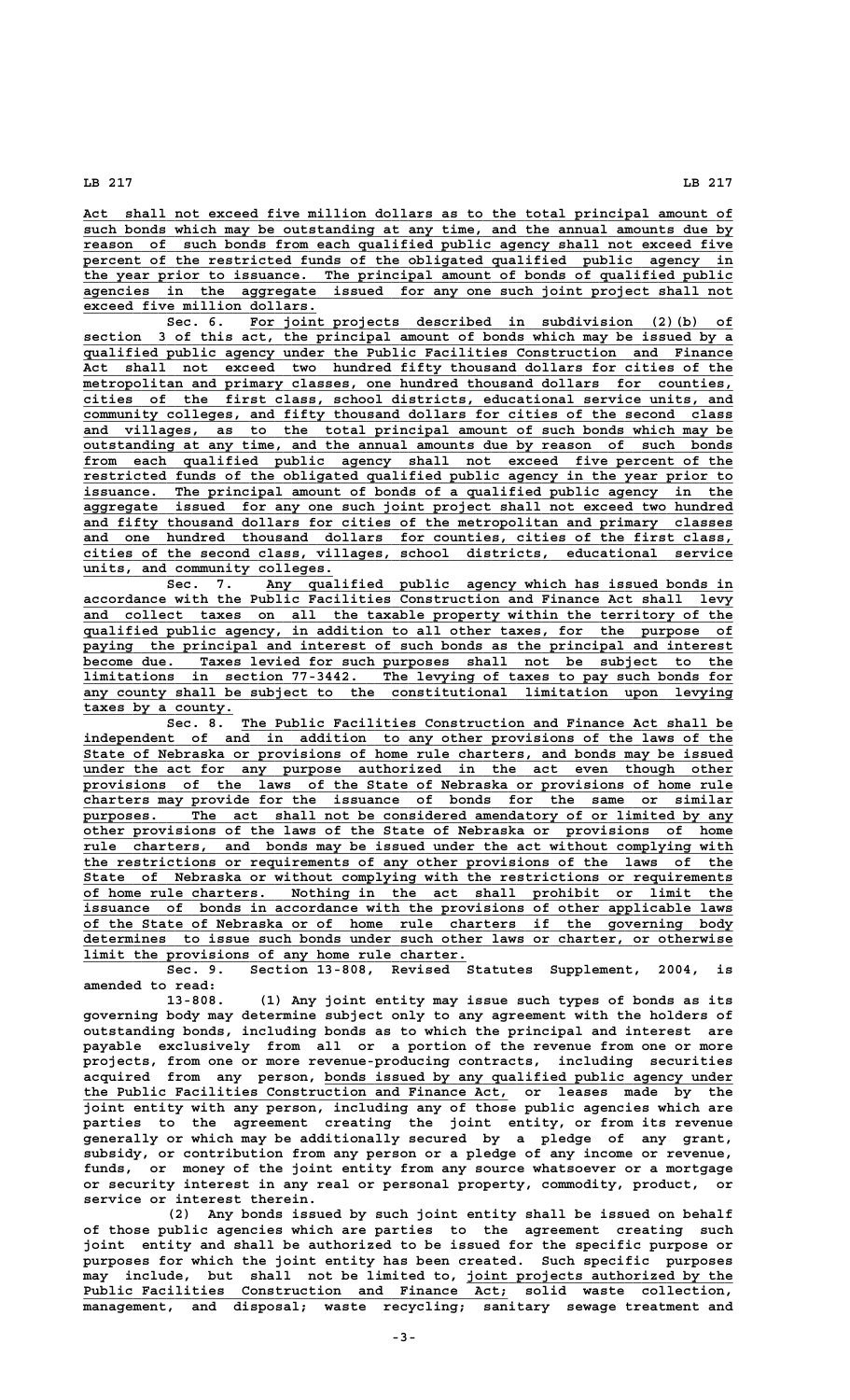## **LB 217 LB 217**

 **\_\_\_\_\_\_\_\_\_\_\_\_\_\_\_\_\_\_\_\_\_\_\_\_\_\_\_\_\_\_\_\_\_\_\_\_\_\_\_\_\_\_\_\_\_\_\_\_\_\_\_\_\_\_\_\_\_\_\_\_\_\_\_\_\_\_\_\_\_\_\_\_\_\_\_\_\_\_ Act shall not exceed five million dollars as to the total principal amount of** such bonds which may be outstanding at any time, and the annual amounts due by  $r$ eason of such bonds from each qualified public agency shall not exceed five percent of the restricted funds of the obligated qualified public agency in  **\_\_\_\_\_\_\_\_\_\_\_\_\_\_\_\_\_\_\_\_\_\_\_\_\_\_\_\_\_\_\_\_\_\_\_\_\_\_\_\_\_\_\_\_\_\_\_\_\_\_\_\_\_\_\_\_\_\_\_\_\_\_\_\_\_\_\_\_\_\_\_\_\_\_\_\_\_\_ the year prior to issuance. The principal amount of bonds of qualified public \_\_\_\_\_\_\_\_\_\_\_\_\_\_\_\_\_\_\_\_\_\_\_\_\_\_\_\_\_\_\_\_\_\_\_\_\_\_\_\_\_\_\_\_\_\_\_\_\_\_\_\_\_\_\_\_\_\_\_\_\_\_\_\_\_\_\_\_\_\_\_\_\_\_\_\_\_\_ agencies in the aggregate issued for any one such joint project shall not \_\_\_\_\_\_\_\_\_\_\_\_\_\_\_\_\_\_\_\_\_\_\_\_\_\_\_\_ exceed five million dollars.**

 **\_\_\_\_\_\_\_\_\_\_\_\_\_\_\_\_\_\_\_\_\_\_\_\_\_\_\_\_\_\_\_\_\_\_\_\_\_\_\_\_\_\_\_\_\_\_\_\_\_\_\_\_\_\_\_\_\_\_ Sec. 6. For joint projects described in subdivision (2)(b) of \_\_\_\_\_\_\_\_\_\_\_\_\_\_\_\_\_\_\_\_\_\_\_\_\_\_\_\_\_\_\_\_\_\_\_\_\_\_\_\_\_\_\_\_\_\_\_\_\_\_\_\_\_\_\_\_\_\_\_\_\_\_\_\_\_\_\_\_\_\_\_\_\_\_\_\_\_\_ section 3 of this act, the principal amount of bonds which may be issued by a \_\_\_\_\_\_\_\_\_\_\_\_\_\_\_\_\_\_\_\_\_\_\_\_\_\_\_\_\_\_\_\_\_\_\_\_\_\_\_\_\_\_\_\_\_\_\_\_\_\_\_\_\_\_\_\_\_\_\_\_\_\_\_\_\_\_\_\_\_\_\_\_\_\_\_\_\_\_ qualified public agency under the Public Facilities Construction and Finance \_\_\_\_\_\_\_\_\_\_\_\_\_\_\_\_\_\_\_\_\_\_\_\_\_\_\_\_\_\_\_\_\_\_\_\_\_\_\_\_\_\_\_\_\_\_\_\_\_\_\_\_\_\_\_\_\_\_\_\_\_\_\_\_\_\_\_\_\_\_\_\_\_\_\_\_\_\_ Act shall not exceed two hundred fifty thousand dollars for cities of the**  $m$ etropolitan and primary classes, one hundred thousand dollars for counties,  **\_\_\_\_\_\_\_\_\_\_\_\_\_\_\_\_\_\_\_\_\_\_\_\_\_\_\_\_\_\_\_\_\_\_\_\_\_\_\_\_\_\_\_\_\_\_\_\_\_\_\_\_\_\_\_\_\_\_\_\_\_\_\_\_\_\_\_\_\_\_\_\_\_\_\_\_\_\_ cities of the first class, school districts, educational service units, and \_\_\_\_\_\_\_\_\_\_\_\_\_\_\_\_\_\_\_\_\_\_\_\_\_\_\_\_\_\_\_\_\_\_\_\_\_\_\_\_\_\_\_\_\_\_\_\_\_\_\_\_\_\_\_\_\_\_\_\_\_\_\_\_\_\_\_\_\_\_\_\_\_\_\_\_\_\_ community colleges, and fifty thousand dollars for cities of the second class** and villages, as to the total principal amount of such bonds which may be  **\_\_\_\_\_\_\_\_\_\_\_\_\_\_\_\_\_\_\_\_\_\_\_\_\_\_\_\_\_\_\_\_\_\_\_\_\_\_\_\_\_\_\_\_\_\_\_\_\_\_\_\_\_\_\_\_\_\_\_\_\_\_\_\_\_\_\_\_\_\_\_\_\_\_\_\_\_\_ outstanding at any time, and the annual amounts due by reason of such bonds \_\_\_\_\_\_\_\_\_\_\_\_\_\_\_\_\_\_\_\_\_\_\_\_\_\_\_\_\_\_\_\_\_\_\_\_\_\_\_\_\_\_\_\_\_\_\_\_\_\_\_\_\_\_\_\_\_\_\_\_\_\_\_\_\_\_\_\_\_\_\_\_\_\_\_\_\_\_ from each qualified public agency shall not exceed five percent of the \_\_\_\_\_\_\_\_\_\_\_\_\_\_\_\_\_\_\_\_\_\_\_\_\_\_\_\_\_\_\_\_\_\_\_\_\_\_\_\_\_\_\_\_\_\_\_\_\_\_\_\_\_\_\_\_\_\_\_\_\_\_\_\_\_\_\_\_\_\_\_\_\_\_\_\_\_\_ restricted funds of the obligated qualified public agency in the year prior to \_\_\_\_\_\_\_\_\_\_\_\_\_\_\_\_\_\_\_\_\_\_\_\_\_\_\_\_\_\_\_\_\_\_\_\_\_\_\_\_\_\_\_\_\_\_\_\_\_\_\_\_\_\_\_\_\_\_\_\_\_\_\_\_\_\_\_\_\_\_\_\_\_\_\_\_\_\_ issuance. The principal amount of bonds of a qualified public agency in the \_\_\_\_\_\_\_\_\_\_\_\_\_\_\_\_\_\_\_\_\_\_\_\_\_\_\_\_\_\_\_\_\_\_\_\_\_\_\_\_\_\_\_\_\_\_\_\_\_\_\_\_\_\_\_\_\_\_\_\_\_\_\_\_\_\_\_\_\_\_\_\_\_\_\_\_\_\_ aggregate issued for any one such joint project shall not exceed two hundred \_\_\_\_\_\_\_\_\_\_\_\_\_\_\_\_\_\_\_\_\_\_\_\_\_\_\_\_\_\_\_\_\_\_\_\_\_\_\_\_\_\_\_\_\_\_\_\_\_\_\_\_\_\_\_\_\_\_\_\_\_\_\_\_\_\_\_\_\_\_\_\_\_\_\_\_\_\_ and fifty thousand dollars for cities of the metropolitan and primary classes** and one hundred thousand dollars for counties, cities of the first class,  **\_\_\_\_\_\_\_\_\_\_\_\_\_\_\_\_\_\_\_\_\_\_\_\_\_\_\_\_\_\_\_\_\_\_\_\_\_\_\_\_\_\_\_\_\_\_\_\_\_\_\_\_\_\_\_\_\_\_\_\_\_\_\_\_\_\_\_\_\_\_\_\_\_\_\_\_\_\_ cities of the second class, villages, school districts, educational service \_\_\_\_\_\_\_\_\_\_\_\_\_\_\_\_\_\_\_\_\_\_\_\_\_\_\_\_\_\_ units, and community colleges.**

Sec. 7. Any qualified public agency which has issued bonds in  **\_\_\_\_\_\_\_\_\_\_\_\_\_\_\_\_\_\_\_\_\_\_\_\_\_\_\_\_\_\_\_\_\_\_\_\_\_\_\_\_\_\_\_\_\_\_\_\_\_\_\_\_\_\_\_\_\_\_\_\_\_\_\_\_\_\_\_\_\_\_\_\_\_\_\_\_\_\_ accordance with the Public Facilities Construction and Finance Act shall levy \_\_\_\_\_\_\_\_\_\_\_\_\_\_\_\_\_\_\_\_\_\_\_\_\_\_\_\_\_\_\_\_\_\_\_\_\_\_\_\_\_\_\_\_\_\_\_\_\_\_\_\_\_\_\_\_\_\_\_\_\_\_\_\_\_\_\_\_\_\_\_\_\_\_\_\_\_\_ and collect taxes on all the taxable property within the territory of the \_\_\_\_\_\_\_\_\_\_\_\_\_\_\_\_\_\_\_\_\_\_\_\_\_\_\_\_\_\_\_\_\_\_\_\_\_\_\_\_\_\_\_\_\_\_\_\_\_\_\_\_\_\_\_\_\_\_\_\_\_\_\_\_\_\_\_\_\_\_\_\_\_\_\_\_\_\_ qualified public agency, in addition to all other taxes, for the purpose of** paying the principal and interest of such bonds as the principal and interest become due. Taxes levied for such purposes shall not be subject to the  **\_\_\_\_\_\_\_\_\_\_\_\_\_\_\_\_\_\_\_\_\_\_\_\_\_\_\_\_\_\_\_\_\_\_\_\_\_\_\_\_\_\_\_\_\_\_\_\_\_\_\_\_\_\_\_\_\_\_\_\_\_\_\_\_\_\_\_\_\_\_\_\_\_\_\_\_\_\_ become due. Taxes levied for such purposes shall not be subject to the \_\_\_\_\_\_\_\_\_\_\_\_\_\_\_\_\_\_\_\_\_\_\_\_\_\_\_\_\_\_\_\_\_\_\_\_\_\_\_\_\_\_\_\_\_\_\_\_\_\_\_\_\_\_\_\_\_\_\_\_\_\_\_\_\_\_\_\_\_\_\_\_\_\_\_\_\_\_ limitations in section 77-3442. The levying of taxes to pay such bonds for \_\_\_\_\_\_\_\_\_\_\_\_\_\_\_\_\_\_\_\_\_\_\_\_\_\_\_\_\_\_\_\_\_\_\_\_\_\_\_\_\_\_\_\_\_\_\_\_\_\_\_\_\_\_\_\_\_\_\_\_\_\_\_\_\_\_\_\_\_\_\_\_\_\_\_\_\_\_ any county shall be subject to the constitutional limitation upon levying \_\_\_\_\_\_\_\_\_\_\_\_\_\_\_\_\_\_ taxes by a county.**

 **\_\_\_\_\_\_\_\_\_\_\_\_\_\_\_\_\_\_\_\_\_\_\_\_\_\_\_\_\_\_\_\_\_\_\_\_\_\_\_\_\_\_\_\_\_\_\_\_\_\_\_\_\_\_\_\_\_\_\_ Sec. 8. The Public Facilities Construction and Finance Act shall be \_\_\_\_\_\_\_\_\_\_\_\_\_\_\_\_\_\_\_\_\_\_\_\_\_\_\_\_\_\_\_\_\_\_\_\_\_\_\_\_\_\_\_\_\_\_\_\_\_\_\_\_\_\_\_\_\_\_\_\_\_\_\_\_\_\_\_\_\_\_\_\_\_\_\_\_\_\_ independent of and in addition to any other provisions of the laws of the** independent of and in addition to any other provisions of the laws of the State of Nebraska or provisions of home rule charters, and bonds may be issued under the act for any purpose authorized in the act even though other  **\_\_\_\_\_\_\_\_\_\_\_\_\_\_\_\_\_\_\_\_\_\_\_\_\_\_\_\_\_\_\_\_\_\_\_\_\_\_\_\_\_\_\_\_\_\_\_\_\_\_\_\_\_\_\_\_\_\_\_\_\_\_\_\_\_\_\_\_\_\_\_\_\_\_\_\_\_\_ provisions of the laws of the State of Nebraska or provisions of home rule \_\_\_\_\_\_\_\_\_\_\_\_\_\_\_\_\_\_\_\_\_\_\_\_\_\_\_\_\_\_\_\_\_\_\_\_\_\_\_\_\_\_\_\_\_\_\_\_\_\_\_\_\_\_\_\_\_\_\_\_\_\_\_\_\_\_\_\_\_\_\_\_\_\_\_\_\_\_ charters may provide for the issuance of bonds for the same or similar** purposes. The act shall not be considered amendatory of or limited by any  **\_\_\_\_\_\_\_\_\_\_\_\_\_\_\_\_\_\_\_\_\_\_\_\_\_\_\_\_\_\_\_\_\_\_\_\_\_\_\_\_\_\_\_\_\_\_\_\_\_\_\_\_\_\_\_\_\_\_\_\_\_\_\_\_\_\_\_\_\_\_\_\_\_\_\_\_\_\_ other provisions of the laws of the State of Nebraska or provisions of home** rule charters, and bonds may be issued under the act without complying with  **\_\_\_\_\_\_\_\_\_\_\_\_\_\_\_\_\_\_\_\_\_\_\_\_\_\_\_\_\_\_\_\_\_\_\_\_\_\_\_\_\_\_\_\_\_\_\_\_\_\_\_\_\_\_\_\_\_\_\_\_\_\_\_\_\_\_\_\_\_\_\_\_\_\_\_\_\_\_ the restrictions or requirements of any other provisions of the laws of the \_\_\_\_\_\_\_\_\_\_\_\_\_\_\_\_\_\_\_\_\_\_\_\_\_\_\_\_\_\_\_\_\_\_\_\_\_\_\_\_\_\_\_\_\_\_\_\_\_\_\_\_\_\_\_\_\_\_\_\_\_\_\_\_\_\_\_\_\_\_\_\_\_\_\_\_\_\_ State of Nebraska or without complying with the restrictions or requirements \_\_\_\_\_\_\_\_\_\_\_\_\_\_\_\_\_\_\_\_\_\_\_\_\_\_\_\_\_\_\_\_\_\_\_\_\_\_\_\_\_\_\_\_\_\_\_\_\_\_\_\_\_\_\_\_\_\_\_\_\_\_\_\_\_\_\_\_\_\_\_\_\_\_\_\_\_\_ of home rule charters. Nothing in the act shall prohibit or limit the \_\_\_\_\_\_\_\_\_\_\_\_\_\_\_\_\_\_\_\_\_\_\_\_\_\_\_\_\_\_\_\_\_\_\_\_\_\_\_\_\_\_\_\_\_\_\_\_\_\_\_\_\_\_\_\_\_\_\_\_\_\_\_\_\_\_\_\_\_\_\_\_\_\_\_\_\_\_ issuance of bonds in accordance with the provisions of other applicable laws \_\_\_\_\_\_\_\_\_\_\_\_\_\_\_\_\_\_\_\_\_\_\_\_\_\_\_\_\_\_\_\_\_\_\_\_\_\_\_\_\_\_\_\_\_\_\_\_\_\_\_\_\_\_\_\_\_\_\_\_\_\_\_\_\_\_\_\_\_\_\_\_\_\_\_\_\_\_ of the State of Nebraska or of home rule charters if the governing body \_\_\_\_\_\_\_\_\_\_\_\_\_\_\_\_\_\_\_\_\_\_\_\_\_\_\_\_\_\_\_\_\_\_\_\_\_\_\_\_\_\_\_\_\_\_\_\_\_\_\_\_\_\_\_\_\_\_\_\_\_\_\_\_\_\_\_\_\_\_\_\_\_\_\_\_\_\_ determines to issue such bonds under such other laws or charter, or otherwise \_\_\_\_\_\_\_\_\_\_\_\_\_\_\_\_\_\_\_\_\_\_\_\_\_\_\_\_\_\_\_\_\_\_\_\_\_\_\_\_\_\_\_\_\_\_ limit the provisions of any home rule charter.**

**Sec. 9. Section 13-808, Revised Statutes Supplement, 2004, is amended to read:**

**13-808. (1) Any joint entity may issue such types of bonds as its governing body may determine subject only to any agreement with the holders of outstanding bonds, including bonds as to which the principal and interest are payable exclusively from all or a portion of the revenue from one or more projects, from one or more revenue-producing contracts, including securities \_\_\_\_\_\_\_\_\_\_\_\_\_\_\_\_\_\_\_\_\_\_\_\_\_\_\_\_\_\_\_\_\_\_\_\_\_\_\_\_\_\_\_\_\_\_\_\_\_ acquired from any person, bonds issued by any qualified public agency under \_\_\_\_\_\_\_\_\_\_\_\_\_\_\_\_\_\_\_\_\_\_\_\_\_\_\_\_\_\_\_\_\_\_\_\_\_\_\_\_\_\_\_\_\_\_\_\_\_\_\_ the Public Facilities Construction and Finance Act, or leases made by the joint entity with any person, including any of those public agencies which are parties to the agreement creating the joint entity, or from its revenue generally or which may be additionally secured by a pledge of any grant, subsidy, or contribution from any person or a pledge of any income or revenue, funds, or money of the joint entity from any source whatsoever or a mortgage or security interest in any real or personal property, commodity, product, or service or interest therein.**

**(2) Any bonds issued by such joint entity shall be issued on behalf of those public agencies which are parties to the agreement creating such joint entity and shall be authorized to be issued for the specific purpose or purposes for which the joint entity has been created. Such specific purposes may include, but shall not be limited to, joint projects authorized by the \_\_\_\_\_\_\_\_\_\_\_\_\_\_\_\_\_\_\_\_\_\_\_\_\_\_\_\_\_\_\_\_ \_\_\_\_\_\_\_\_\_\_\_\_\_\_\_\_\_\_\_\_\_\_\_\_\_\_\_\_\_\_\_\_\_\_\_\_\_\_\_\_\_\_\_\_\_\_\_\_\_\_\_ Public Facilities Construction and Finance Act; solid waste collection, management, and disposal; waste recycling; sanitary sewage treatment and**